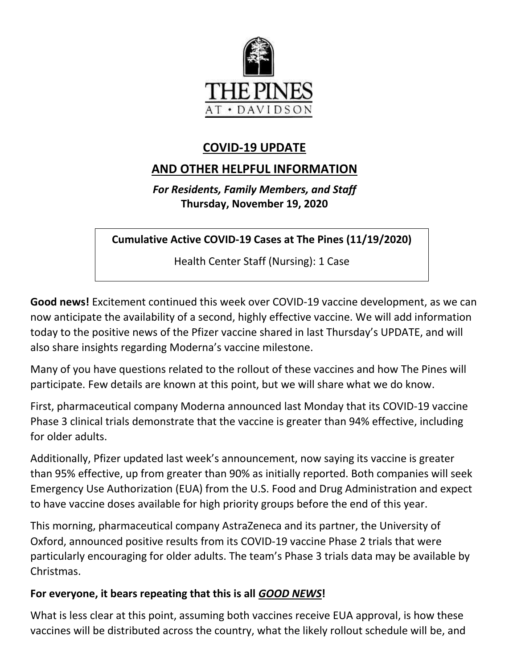

# **COVID-19 UPDATE**

# **AND OTHER HELPFUL INFORMATION**

*For Residents, Family Members, and Staff* **Thursday, November 19, 2020**

**Cumulative Active COVID-19 Cases at The Pines (11/19/2020)**

Health Center Staff (Nursing): 1 Case

**Good news!** Excitement continued this week over COVID-19 vaccine development, as we can now anticipate the availability of a second, highly effective vaccine. We will add information today to the positive news of the Pfizer vaccine shared in last Thursday's UPDATE, and will also share insights regarding Moderna's vaccine milestone.

Many of you have questions related to the rollout of these vaccines and how The Pines will participate. Few details are known at this point, but we will share what we do know.

First, pharmaceutical company Moderna announced last Monday that its COVID-19 vaccine Phase 3 clinical trials demonstrate that the vaccine is greater than 94% effective, including for older adults.

Additionally, Pfizer updated last week's announcement, now saying its vaccine is greater than 95% effective, up from greater than 90% as initially reported. Both companies will seek Emergency Use Authorization (EUA) from the U.S. Food and Drug Administration and expect to have vaccine doses available for high priority groups before the end of this year.

This morning, pharmaceutical company AstraZeneca and its partner, the University of Oxford, announced positive results from its COVID-19 vaccine Phase 2 trials that were particularly encouraging for older adults. The team's Phase 3 trials data may be available by Christmas.

## **For everyone, it bears repeating that this is all** *GOOD NEWS***!**

What is less clear at this point, assuming both vaccines receive EUA approval, is how these vaccines will be distributed across the country, what the likely rollout schedule will be, and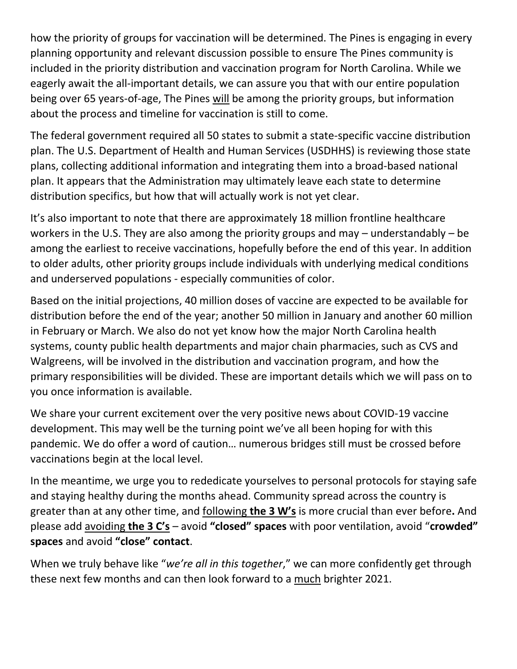how the priority of groups for vaccination will be determined. The Pines is engaging in every planning opportunity and relevant discussion possible to ensure The Pines community is included in the priority distribution and vaccination program for North Carolina. While we eagerly await the all-important details, we can assure you that with our entire population being over 65 years-of-age, The Pines will be among the priority groups, but information about the process and timeline for vaccination is still to come.

The federal government required all 50 states to submit a state-specific vaccine distribution plan. The U.S. Department of Health and Human Services (USDHHS) is reviewing those state plans, collecting additional information and integrating them into a broad-based national plan. It appears that the Administration may ultimately leave each state to determine distribution specifics, but how that will actually work is not yet clear.

It's also important to note that there are approximately 18 million frontline healthcare workers in the U.S. They are also among the priority groups and may – understandably – be among the earliest to receive vaccinations, hopefully before the end of this year. In addition to older adults, other priority groups include individuals with underlying medical conditions and underserved populations - especially communities of color.

Based on the initial projections, 40 million doses of vaccine are expected to be available for distribution before the end of the year; another 50 million in January and another 60 million in February or March. We also do not yet know how the major North Carolina health systems, county public health departments and major chain pharmacies, such as CVS and Walgreens, will be involved in the distribution and vaccination program, and how the primary responsibilities will be divided. These are important details which we will pass on to you once information is available.

We share your current excitement over the very positive news about COVID-19 vaccine development. This may well be the turning point we've all been hoping for with this pandemic. We do offer a word of caution… numerous bridges still must be crossed before vaccinations begin at the local level.

In the meantime, we urge you to rededicate yourselves to personal protocols for staying safe and staying healthy during the months ahead. Community spread across the country is greater than at any other time, and following **the 3 W's** is more crucial than ever before**.** And please add avoiding **the 3 C's** – avoid **"closed" spaces** with poor ventilation, avoid "**crowded" spaces** and avoid **"close" contact**.

When we truly behave like "*we're all in this together*," we can more confidently get through these next few months and can then look forward to a much brighter 2021.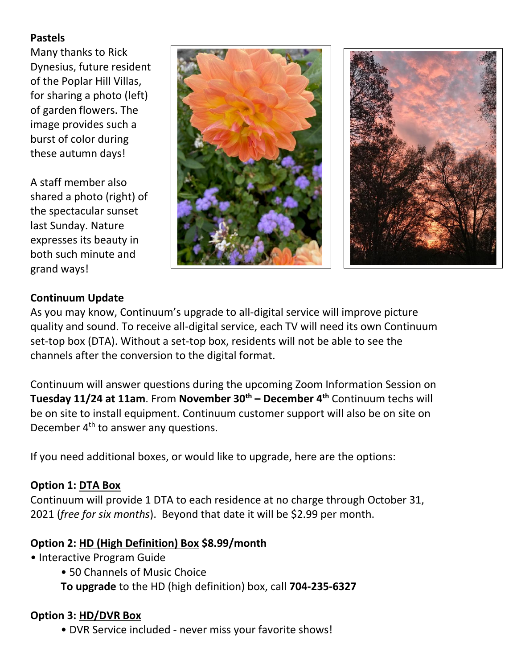### **Pastels**

Many thanks to Rick Dynesius, future resident of the Poplar Hill Villas, for sharing a photo (left) of garden flowers. The image provides such a burst of color during these autumn days!

A staff member also shared a photo (right) of the spectacular sunset last Sunday. Nature expresses its beauty in both such minute and grand ways!



### **Continuum Update**

As you may know, Continuum's upgrade to all-digital service will improve picture quality and sound. To receive all-digital service, each TV will need its own Continuum set-top box (DTA). Without a set-top box, residents will not be able to see the channels after the conversion to the digital format.

Continuum will answer questions during the upcoming Zoom Information Session on **Tuesday 11/24 at 11am**. From **November 30th – December 4th** Continuum techs will be on site to install equipment. Continuum customer support will also be on site on December 4<sup>th</sup> to answer any questions.

If you need additional boxes, or would like to upgrade, here are the options:

#### **Option 1: DTA Box**

Continuum will provide 1 DTA to each residence at no charge through October 31, 2021 (*free for six months*). Beyond that date it will be \$2.99 per month.

#### **Option 2: HD (High Definition) Box \$8.99/month**

- Interactive Program Guide
	- 50 Channels of Music Choice
	- **To upgrade** to the HD (high definition) box, call **704-235-6327**

#### **Option 3: HD/DVR Box**

• DVR Service included - never miss your favorite shows!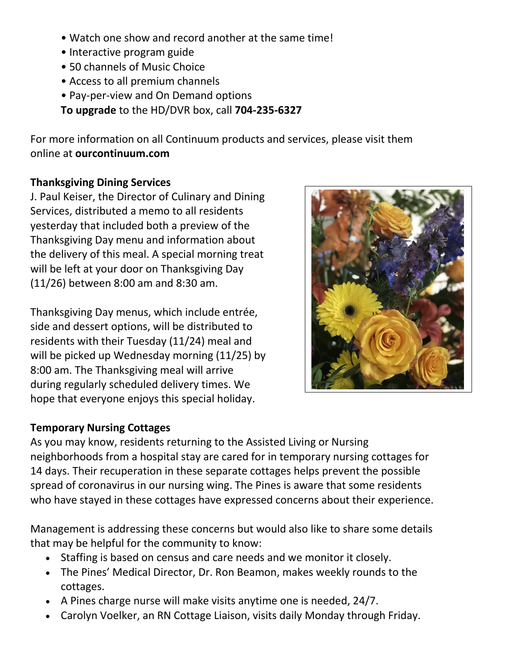- Watch one show and record another at the same time!
- Interactive program guide
- 50 channels of Music Choice
- Access to all premium channels
- Pay-per-view and On Demand options
- **To upgrade** to the HD/DVR box, call **704-235-6327**

For more information on all Continuum products and services, please visit them online at **ourcontinuum.com** 

### **Thanksgiving Dining Services**

J. Paul Keiser, the Director of Culinary and Dining Services, distributed a memo to all residents yesterday that included both a preview of the Thanksgiving Day menu and information about the delivery of this meal. A special morning treat will be left at your door on Thanksgiving Day (11/26) between 8:00 am and 8:30 am.

Thanksgiving Day menus, which include entrée, side and dessert options, will be distributed to residents with their Tuesday (11/24) meal and will be picked up Wednesday morning (11/25) by 8:00 am. The Thanksgiving meal will arrive during regularly scheduled delivery times. We hope that everyone enjoys this special holiday.

## **Temporary Nursing Cottages**

As you may know, residents returning to the Assisted Living or Nursing neighborhoods from a hospital stay are cared for in temporary nursing cottages for 14 days. Their recuperation in these separate cottages helps prevent the possible spread of coronavirus in our nursing wing. The Pines is aware that some residents who have stayed in these cottages have expressed concerns about their experience.

Management is addressing these concerns but would also like to share some details that may be helpful for the community to know:

- Staffing is based on census and care needs and we monitor it closely.
- The Pines' Medical Director, Dr. Ron Beamon, makes weekly rounds to the cottages.
- A Pines charge nurse will make visits anytime one is needed, 24/7.
- Carolyn Voelker, an RN Cottage Liaison, visits daily Monday through Friday.

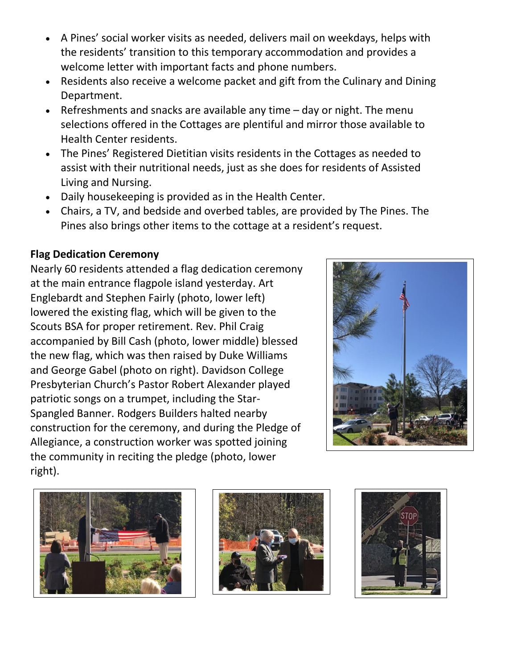- A Pines' social worker visits as needed, delivers mail on weekdays, helps with the residents' transition to this temporary accommodation and provides a welcome letter with important facts and phone numbers.
- Residents also receive a welcome packet and gift from the Culinary and Dining Department.
- Refreshments and snacks are available any time day or night. The menu selections offered in the Cottages are plentiful and mirror those available to Health Center residents.
- The Pines' Registered Dietitian visits residents in the Cottages as needed to assist with their nutritional needs, just as she does for residents of Assisted Living and Nursing.
- Daily housekeeping is provided as in the Health Center.
- Chairs, a TV, and bedside and overbed tables, are provided by The Pines. The Pines also brings other items to the cottage at a resident's request.

## **Flag Dedication Ceremony**

Nearly 60 residents attended a flag dedication ceremony at the main entrance flagpole island yesterday. Art Englebardt and Stephen Fairly (photo, lower left) lowered the existing flag, which will be given to the Scouts BSA for proper retirement. Rev. Phil Craig accompanied by Bill Cash (photo, lower middle) blessed the new flag, which was then raised by Duke Williams and George Gabel (photo on right). Davidson College Presbyterian Church's Pastor Robert Alexander played patriotic songs on a trumpet, including the Star-Spangled Banner. Rodgers Builders halted nearby construction for the ceremony, and during the Pledge of Allegiance, a construction worker was spotted joining the community in reciting the pledge (photo, lower right).